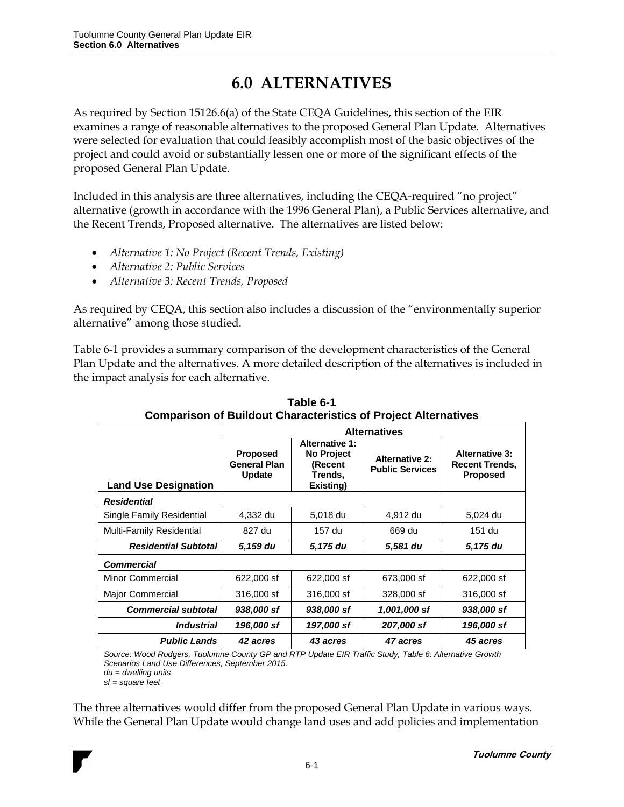# **6.0 ALTERNATIVES**

As required by Section 15126.6(a) of the State CEQA Guidelines, this section of the EIR examines a range of reasonable alternatives to the proposed General Plan Update. Alternatives were selected for evaluation that could feasibly accomplish most of the basic objectives of the project and could avoid or substantially lessen one or more of the significant effects of the proposed General Plan Update.

Included in this analysis are three alternatives, including the CEQA-required "no project" alternative (growth in accordance with the 1996 General Plan), a Public Services alternative, and the Recent Trends, Proposed alternative. The alternatives are listed below:

- *Alternative 1: No Project (Recent Trends, Existing)*
- *Alternative 2: Public Services*
- *Alternative 3: Recent Trends, Proposed*

As required by CEQA, this section also includes a discussion of the "environmentally superior alternative" among those studied.

Table 6-1 provides a summary comparison of the development characteristics of the General Plan Update and the alternatives. A more detailed description of the alternatives is included in the impact analysis for each alternative.

|                             | <b>Alternatives</b>                              |                                                                        |                                                 |                                                                   |  |  |
|-----------------------------|--------------------------------------------------|------------------------------------------------------------------------|-------------------------------------------------|-------------------------------------------------------------------|--|--|
| <b>Land Use Designation</b> | Proposed<br><b>General Plan</b><br><b>Update</b> | <b>Alternative 1:</b><br>No Project<br>(Recent<br>Trends.<br>Existing) | <b>Alternative 2:</b><br><b>Public Services</b> | <b>Alternative 3:</b><br><b>Recent Trends,</b><br><b>Proposed</b> |  |  |
| <b>Residential</b>          |                                                  |                                                                        |                                                 |                                                                   |  |  |
| Single Family Residential   | 4,332 du                                         | 5,018 du                                                               | 4,912 du                                        | 5,024 du                                                          |  |  |
| Multi-Family Residential    | 827 du                                           | 157 du                                                                 | 669 du                                          | 151 du                                                            |  |  |
| <b>Residential Subtotal</b> | 5,159 du                                         | 5,175 du                                                               | 5,581 du                                        | 5,175 du                                                          |  |  |
| <b>Commercial</b>           |                                                  |                                                                        |                                                 |                                                                   |  |  |
| <b>Minor Commercial</b>     | 622,000 sf                                       | 622,000 sf                                                             | 673,000 sf                                      | 622,000 sf                                                        |  |  |
| Major Commercial            | 316,000 sf                                       | 316,000 sf                                                             | 328,000 sf                                      | 316,000 sf                                                        |  |  |
| <b>Commercial subtotal</b>  | 938,000 sf                                       | 938,000 sf                                                             | 1,001,000 sf                                    | 938,000 sf                                                        |  |  |
| <i><b>Industrial</b></i>    | 196,000 sf                                       | 197,000 sf                                                             | 207,000 sf                                      | 196,000 sf                                                        |  |  |
| <b>Public Lands</b>         | 42 acres                                         | 43 acres                                                               | 47 acres                                        | 45 acres                                                          |  |  |

**Table 6-1 Comparison of Buildout Characteristics of Project Alternatives**

*Source: Wood Rodgers, Tuolumne County GP and RTP Update EIR Traffic Study, Table 6: Alternative Growth Scenarios Land Use Differences, September 2015.* 

*du = dwelling units sf = square feet*

The three alternatives would differ from the proposed General Plan Update in various ways. While the General Plan Update would change land uses and add policies and implementation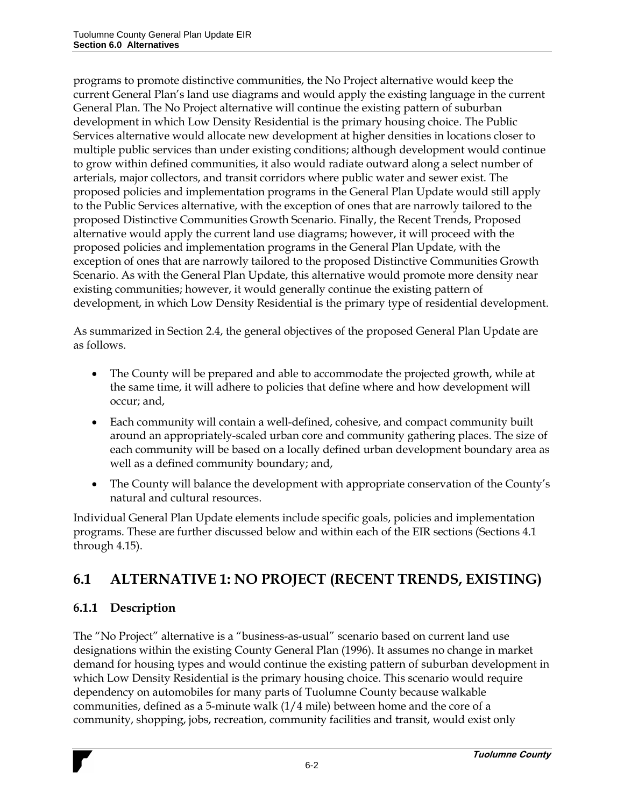programs to promote distinctive communities, the No Project alternative would keep the current General Plan's land use diagrams and would apply the existing language in the current General Plan. The No Project alternative will continue the existing pattern of suburban development in which Low Density Residential is the primary housing choice. The Public Services alternative would allocate new development at higher densities in locations closer to multiple public services than under existing conditions; although development would continue to grow within defined communities, it also would radiate outward along a select number of arterials, major collectors, and transit corridors where public water and sewer exist. The proposed policies and implementation programs in the General Plan Update would still apply to the Public Services alternative, with the exception of ones that are narrowly tailored to the proposed Distinctive Communities Growth Scenario. Finally, the Recent Trends, Proposed alternative would apply the current land use diagrams; however, it will proceed with the proposed policies and implementation programs in the General Plan Update, with the exception of ones that are narrowly tailored to the proposed Distinctive Communities Growth Scenario. As with the General Plan Update, this alternative would promote more density near existing communities; however, it would generally continue the existing pattern of development, in which Low Density Residential is the primary type of residential development.

As summarized in Section 2.4, the general objectives of the proposed General Plan Update are as follows.

- The County will be prepared and able to accommodate the projected growth, while at the same time, it will adhere to policies that define where and how development will occur; and,
- Each community will contain a well-defined, cohesive, and compact community built around an appropriately-scaled urban core and community gathering places. The size of each community will be based on a locally defined urban development boundary area as well as a defined community boundary; and,
- The County will balance the development with appropriate conservation of the County's natural and cultural resources.

Individual General Plan Update elements include specific goals, policies and implementation programs. These are further discussed below and within each of the EIR sections (Sections 4.1 through 4.15).

# **6.1 ALTERNATIVE 1: NO PROJECT (RECENT TRENDS, EXISTING)**

# **6.1.1 Description**

The "No Project" alternative is a "business-as-usual" scenario based on current land use designations within the existing County General Plan (1996). It assumes no change in market demand for housing types and would continue the existing pattern of suburban development in which Low Density Residential is the primary housing choice. This scenario would require dependency on automobiles for many parts of Tuolumne County because walkable communities, defined as a 5-minute walk (1/4 mile) between home and the core of a community, shopping, jobs, recreation, community facilities and transit, would exist only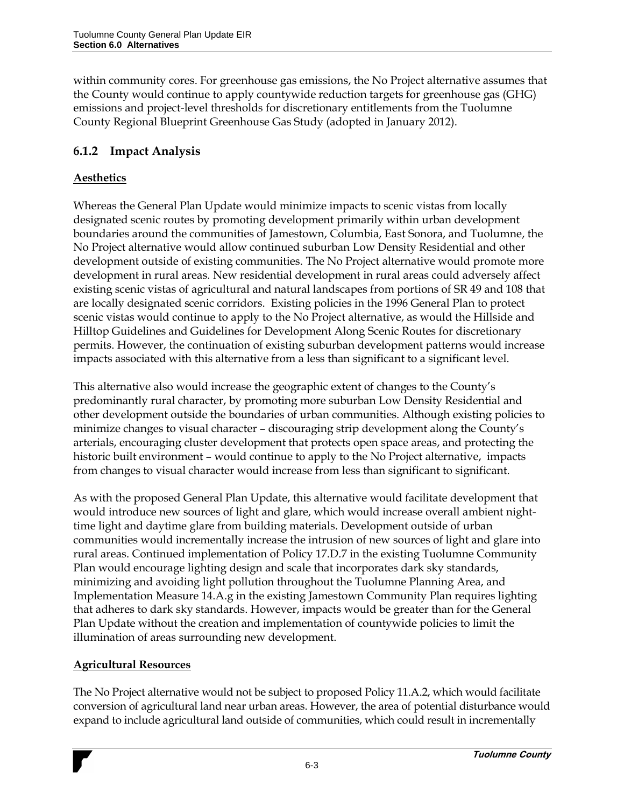within community cores. For greenhouse gas emissions, the No Project alternative assumes that the County would continue to apply countywide reduction targets for greenhouse gas (GHG) emissions and project-level thresholds for discretionary entitlements from the Tuolumne County Regional Blueprint Greenhouse Gas Study (adopted in January 2012).

# **6.1.2 Impact Analysis**

## **Aesthetics**

Whereas the General Plan Update would minimize impacts to scenic vistas from locally designated scenic routes by promoting development primarily within urban development boundaries around the communities of Jamestown, Columbia, East Sonora, and Tuolumne, the No Project alternative would allow continued suburban Low Density Residential and other development outside of existing communities. The No Project alternative would promote more development in rural areas. New residential development in rural areas could adversely affect existing scenic vistas of agricultural and natural landscapes from portions of SR 49 and 108 that are locally designated scenic corridors. Existing policies in the 1996 General Plan to protect scenic vistas would continue to apply to the No Project alternative, as would the Hillside and Hilltop Guidelines and Guidelines for Development Along Scenic Routes for discretionary permits. However, the continuation of existing suburban development patterns would increase impacts associated with this alternative from a less than significant to a significant level.

This alternative also would increase the geographic extent of changes to the County's predominantly rural character, by promoting more suburban Low Density Residential and other development outside the boundaries of urban communities. Although existing policies to minimize changes to visual character – discouraging strip development along the County's arterials, encouraging cluster development that protects open space areas, and protecting the historic built environment – would continue to apply to the No Project alternative, impacts from changes to visual character would increase from less than significant to significant.

As with the proposed General Plan Update, this alternative would facilitate development that would introduce new sources of light and glare, which would increase overall ambient nighttime light and daytime glare from building materials. Development outside of urban communities would incrementally increase the intrusion of new sources of light and glare into rural areas. Continued implementation of Policy 17.D.7 in the existing Tuolumne Community Plan would encourage lighting design and scale that incorporates dark sky standards, minimizing and avoiding light pollution throughout the Tuolumne Planning Area, and Implementation Measure 14.A.g in the existing Jamestown Community Plan requires lighting that adheres to dark sky standards. However, impacts would be greater than for the General Plan Update without the creation and implementation of countywide policies to limit the illumination of areas surrounding new development.

## **Agricultural Resources**

The No Project alternative would not be subject to proposed Policy 11.A.2, which would facilitate conversion of agricultural land near urban areas. However, the area of potential disturbance would expand to include agricultural land outside of communities, which could result in incrementally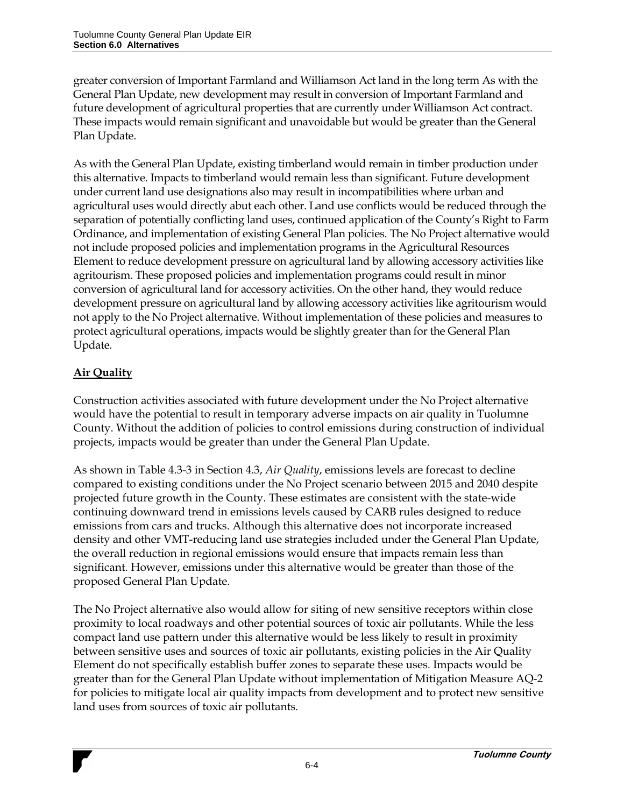greater conversion of Important Farmland and Williamson Act land in the long term As with the General Plan Update, new development may result in conversion of Important Farmland and future development of agricultural properties that are currently under Williamson Act contract. These impacts would remain significant and unavoidable but would be greater than the General Plan Update.

As with the General Plan Update, existing timberland would remain in timber production under this alternative. Impacts to timberland would remain less than significant. Future development under current land use designations also may result in incompatibilities where urban and agricultural uses would directly abut each other. Land use conflicts would be reduced through the separation of potentially conflicting land uses, continued application of the County's Right to Farm Ordinance, and implementation of existing General Plan policies. The No Project alternative would not include proposed policies and implementation programs in the Agricultural Resources Element to reduce development pressure on agricultural land by allowing accessory activities like agritourism. These proposed policies and implementation programs could result in minor conversion of agricultural land for accessory activities. On the other hand, they would reduce development pressure on agricultural land by allowing accessory activities like agritourism would not apply to the No Project alternative. Without implementation of these policies and measures to protect agricultural operations, impacts would be slightly greater than for the General Plan Update.

## **Air Quality**

Construction activities associated with future development under the No Project alternative would have the potential to result in temporary adverse impacts on air quality in Tuolumne County. Without the addition of policies to control emissions during construction of individual projects, impacts would be greater than under the General Plan Update.

As shown in Table 4.3-3 in Section 4.3, *Air Quality*, emissions levels are forecast to decline compared to existing conditions under the No Project scenario between 2015 and 2040 despite projected future growth in the County. These estimates are consistent with the state-wide continuing downward trend in emissions levels caused by CARB rules designed to reduce emissions from cars and trucks. Although this alternative does not incorporate increased density and other VMT-reducing land use strategies included under the General Plan Update, the overall reduction in regional emissions would ensure that impacts remain less than significant. However, emissions under this alternative would be greater than those of the proposed General Plan Update.

The No Project alternative also would allow for siting of new sensitive receptors within close proximity to local roadways and other potential sources of toxic air pollutants. While the less compact land use pattern under this alternative would be less likely to result in proximity between sensitive uses and sources of toxic air pollutants, existing policies in the Air Quality Element do not specifically establish buffer zones to separate these uses. Impacts would be greater than for the General Plan Update without implementation of Mitigation Measure AQ-2 for policies to mitigate local air quality impacts from development and to protect new sensitive land uses from sources of toxic air pollutants.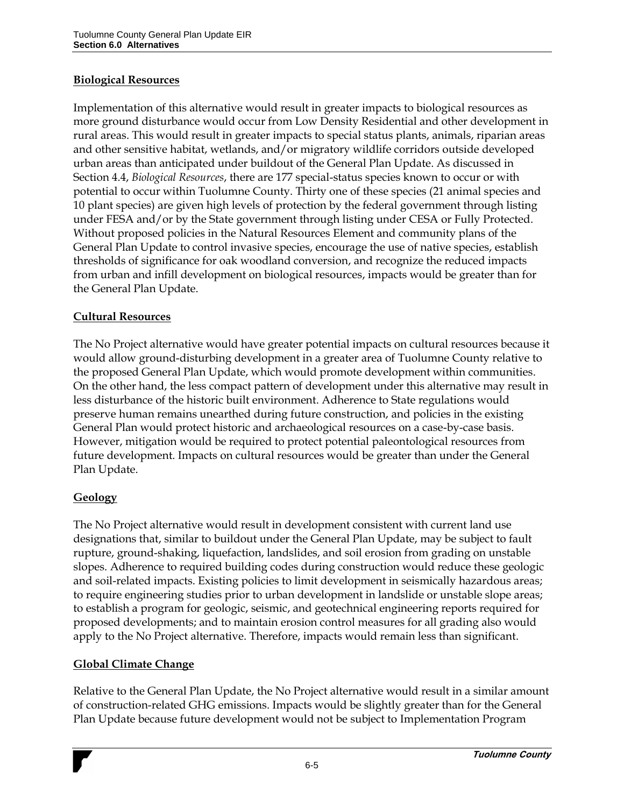#### **Biological Resources**

Implementation of this alternative would result in greater impacts to biological resources as more ground disturbance would occur from Low Density Residential and other development in rural areas. This would result in greater impacts to special status plants, animals, riparian areas and other sensitive habitat, wetlands, and/or migratory wildlife corridors outside developed urban areas than anticipated under buildout of the General Plan Update. As discussed in Section 4.4, *Biological Resources*, there are 177 special-status species known to occur or with potential to occur within Tuolumne County. Thirty one of these species (21 animal species and 10 plant species) are given high levels of protection by the federal government through listing under FESA and/or by the State government through listing under CESA or Fully Protected. Without proposed policies in the Natural Resources Element and community plans of the General Plan Update to control invasive species, encourage the use of native species, establish thresholds of significance for oak woodland conversion, and recognize the reduced impacts from urban and infill development on biological resources, impacts would be greater than for the General Plan Update.

#### **Cultural Resources**

The No Project alternative would have greater potential impacts on cultural resources because it would allow ground-disturbing development in a greater area of Tuolumne County relative to the proposed General Plan Update, which would promote development within communities. On the other hand, the less compact pattern of development under this alternative may result in less disturbance of the historic built environment. Adherence to State regulations would preserve human remains unearthed during future construction, and policies in the existing General Plan would protect historic and archaeological resources on a case-by-case basis. However, mitigation would be required to protect potential paleontological resources from future development. Impacts on cultural resources would be greater than under the General Plan Update.

#### **Geology**

The No Project alternative would result in development consistent with current land use designations that, similar to buildout under the General Plan Update, may be subject to fault rupture, ground-shaking, liquefaction, landslides, and soil erosion from grading on unstable slopes. Adherence to required building codes during construction would reduce these geologic and soil-related impacts. Existing policies to limit development in seismically hazardous areas; to require engineering studies prior to urban development in landslide or unstable slope areas; to establish a program for geologic, seismic, and geotechnical engineering reports required for proposed developments; and to maintain erosion control measures for all grading also would apply to the No Project alternative. Therefore, impacts would remain less than significant.

#### **Global Climate Change**

Relative to the General Plan Update, the No Project alternative would result in a similar amount of construction-related GHG emissions. Impacts would be slightly greater than for the General Plan Update because future development would not be subject to Implementation Program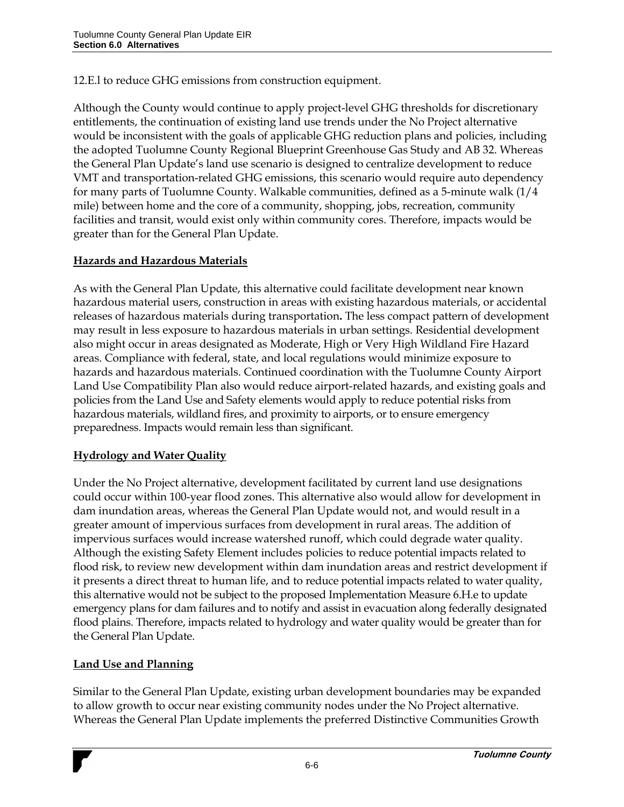12.E.l to reduce GHG emissions from construction equipment.

Although the County would continue to apply project-level GHG thresholds for discretionary entitlements, the continuation of existing land use trends under the No Project alternative would be inconsistent with the goals of applicable GHG reduction plans and policies, including the adopted Tuolumne County Regional Blueprint Greenhouse Gas Study and AB 32. Whereas the General Plan Update's land use scenario is designed to centralize development to reduce VMT and transportation-related GHG emissions, this scenario would require auto dependency for many parts of Tuolumne County. Walkable communities, defined as a 5-minute walk (1/4 mile) between home and the core of a community, shopping, jobs, recreation, community facilities and transit, would exist only within community cores. Therefore, impacts would be greater than for the General Plan Update.

#### **Hazards and Hazardous Materials**

As with the General Plan Update, this alternative could facilitate development near known hazardous material users, construction in areas with existing hazardous materials, or accidental releases of hazardous materials during transportation**.** The less compact pattern of development may result in less exposure to hazardous materials in urban settings. Residential development also might occur in areas designated as Moderate, High or Very High Wildland Fire Hazard areas. Compliance with federal, state, and local regulations would minimize exposure to hazards and hazardous materials. Continued coordination with the Tuolumne County Airport Land Use Compatibility Plan also would reduce airport-related hazards, and existing goals and policies from the Land Use and Safety elements would apply to reduce potential risks from hazardous materials, wildland fires, and proximity to airports, or to ensure emergency preparedness. Impacts would remain less than significant.

#### **Hydrology and Water Quality**

Under the No Project alternative, development facilitated by current land use designations could occur within 100-year flood zones. This alternative also would allow for development in dam inundation areas, whereas the General Plan Update would not, and would result in a greater amount of impervious surfaces from development in rural areas. The addition of impervious surfaces would increase watershed runoff, which could degrade water quality. Although the existing Safety Element includes policies to reduce potential impacts related to flood risk, to review new development within dam inundation areas and restrict development if it presents a direct threat to human life, and to reduce potential impacts related to water quality, this alternative would not be subject to the proposed Implementation Measure 6.H.e to update emergency plans for dam failures and to notify and assist in evacuation along federally designated flood plains. Therefore, impacts related to hydrology and water quality would be greater than for the General Plan Update.

#### **Land Use and Planning**

Similar to the General Plan Update, existing urban development boundaries may be expanded to allow growth to occur near existing community nodes under the No Project alternative. Whereas the General Plan Update implements the preferred Distinctive Communities Growth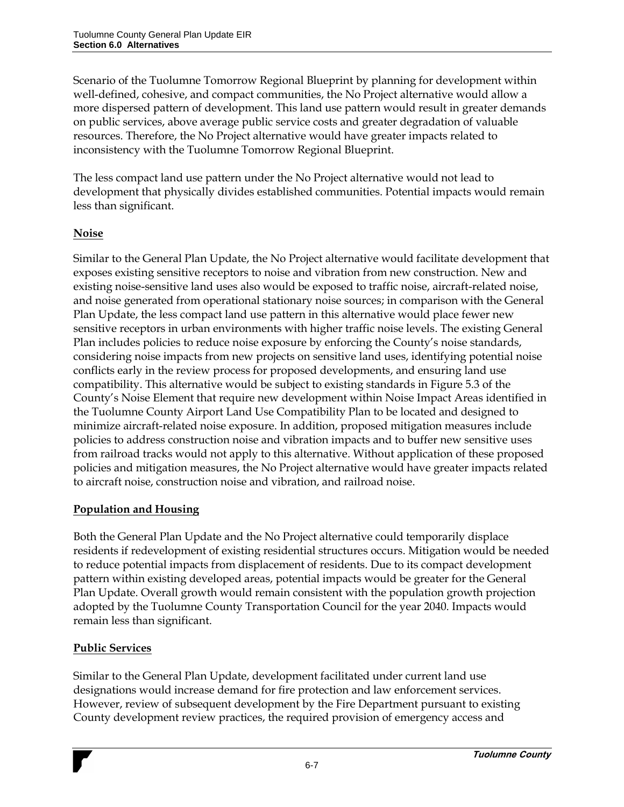Scenario of the Tuolumne Tomorrow Regional Blueprint by planning for development within well-defined, cohesive, and compact communities, the No Project alternative would allow a more dispersed pattern of development. This land use pattern would result in greater demands on public services, above average public service costs and greater degradation of valuable resources. Therefore, the No Project alternative would have greater impacts related to inconsistency with the Tuolumne Tomorrow Regional Blueprint.

The less compact land use pattern under the No Project alternative would not lead to development that physically divides established communities. Potential impacts would remain less than significant.

## **Noise**

Similar to the General Plan Update, the No Project alternative would facilitate development that exposes existing sensitive receptors to noise and vibration from new construction. New and existing noise-sensitive land uses also would be exposed to traffic noise, aircraft-related noise, and noise generated from operational stationary noise sources; in comparison with the General Plan Update, the less compact land use pattern in this alternative would place fewer new sensitive receptors in urban environments with higher traffic noise levels. The existing General Plan includes policies to reduce noise exposure by enforcing the County's noise standards, considering noise impacts from new projects on sensitive land uses, identifying potential noise conflicts early in the review process for proposed developments, and ensuring land use compatibility. This alternative would be subject to existing standards in Figure 5.3 of the County's Noise Element that require new development within Noise Impact Areas identified in the Tuolumne County Airport Land Use Compatibility Plan to be located and designed to minimize aircraft-related noise exposure. In addition, proposed mitigation measures include policies to address construction noise and vibration impacts and to buffer new sensitive uses from railroad tracks would not apply to this alternative. Without application of these proposed policies and mitigation measures, the No Project alternative would have greater impacts related to aircraft noise, construction noise and vibration, and railroad noise.

## **Population and Housing**

Both the General Plan Update and the No Project alternative could temporarily displace residents if redevelopment of existing residential structures occurs. Mitigation would be needed to reduce potential impacts from displacement of residents. Due to its compact development pattern within existing developed areas, potential impacts would be greater for the General Plan Update. Overall growth would remain consistent with the population growth projection adopted by the Tuolumne County Transportation Council for the year 2040. Impacts would remain less than significant.

## **Public Services**

Similar to the General Plan Update, development facilitated under current land use designations would increase demand for fire protection and law enforcement services. However, review of subsequent development by the Fire Department pursuant to existing County development review practices, the required provision of emergency access and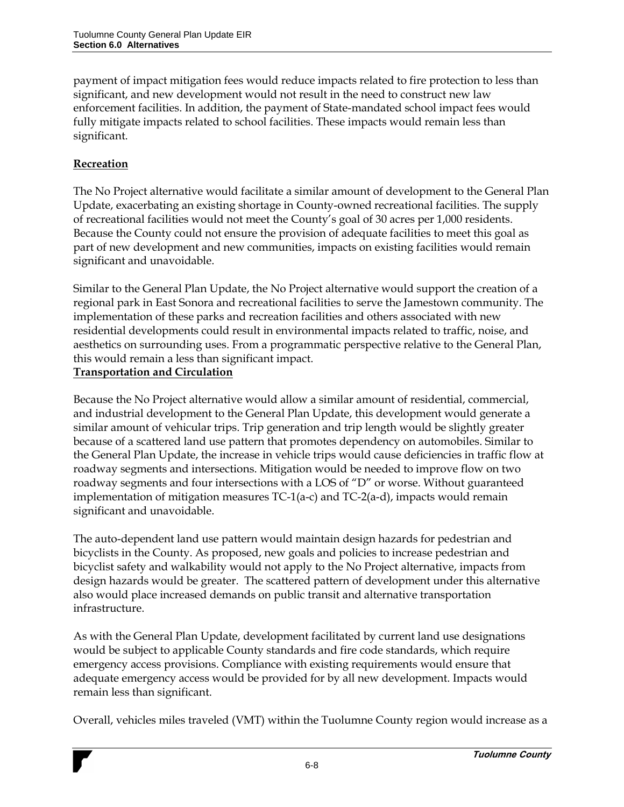payment of impact mitigation fees would reduce impacts related to fire protection to less than significant, and new development would not result in the need to construct new law enforcement facilities. In addition, the payment of State-mandated school impact fees would fully mitigate impacts related to school facilities. These impacts would remain less than significant.

## **Recreation**

The No Project alternative would facilitate a similar amount of development to the General Plan Update, exacerbating an existing shortage in County-owned recreational facilities. The supply of recreational facilities would not meet the County's goal of 30 acres per 1,000 residents. Because the County could not ensure the provision of adequate facilities to meet this goal as part of new development and new communities, impacts on existing facilities would remain significant and unavoidable.

Similar to the General Plan Update, the No Project alternative would support the creation of a regional park in East Sonora and recreational facilities to serve the Jamestown community. The implementation of these parks and recreation facilities and others associated with new residential developments could result in environmental impacts related to traffic, noise, and aesthetics on surrounding uses. From a programmatic perspective relative to the General Plan, this would remain a less than significant impact.

#### **Transportation and Circulation**

Because the No Project alternative would allow a similar amount of residential, commercial, and industrial development to the General Plan Update, this development would generate a similar amount of vehicular trips. Trip generation and trip length would be slightly greater because of a scattered land use pattern that promotes dependency on automobiles. Similar to the General Plan Update, the increase in vehicle trips would cause deficiencies in traffic flow at roadway segments and intersections. Mitigation would be needed to improve flow on two roadway segments and four intersections with a LOS of "D" or worse. Without guaranteed implementation of mitigation measures TC-1(a-c) and TC-2(a-d), impacts would remain significant and unavoidable.

The auto-dependent land use pattern would maintain design hazards for pedestrian and bicyclists in the County. As proposed, new goals and policies to increase pedestrian and bicyclist safety and walkability would not apply to the No Project alternative, impacts from design hazards would be greater. The scattered pattern of development under this alternative also would place increased demands on public transit and alternative transportation infrastructure.

As with the General Plan Update, development facilitated by current land use designations would be subject to applicable County standards and fire code standards, which require emergency access provisions. Compliance with existing requirements would ensure that adequate emergency access would be provided for by all new development. Impacts would remain less than significant.

Overall, vehicles miles traveled (VMT) within the Tuolumne County region would increase as a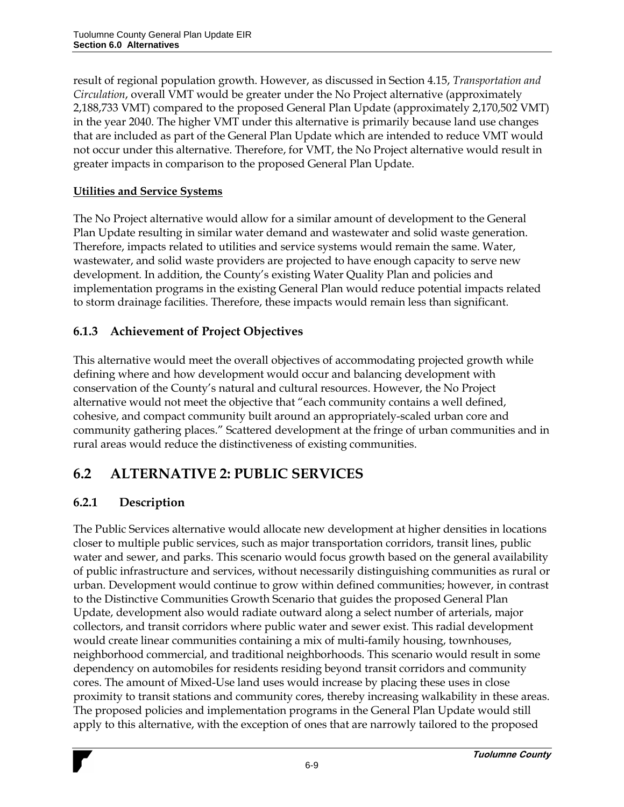result of regional population growth. However, as discussed in Section 4.15, *Transportation and Circulation*, overall VMT would be greater under the No Project alternative (approximately 2,188,733 VMT) compared to the proposed General Plan Update (approximately 2,170,502 VMT) in the year 2040. The higher VMT under this alternative is primarily because land use changes that are included as part of the General Plan Update which are intended to reduce VMT would not occur under this alternative. Therefore, for VMT, the No Project alternative would result in greater impacts in comparison to the proposed General Plan Update.

## **Utilities and Service Systems**

The No Project alternative would allow for a similar amount of development to the General Plan Update resulting in similar water demand and wastewater and solid waste generation. Therefore, impacts related to utilities and service systems would remain the same. Water, wastewater, and solid waste providers are projected to have enough capacity to serve new development. In addition, the County's existing Water Quality Plan and policies and implementation programs in the existing General Plan would reduce potential impacts related to storm drainage facilities. Therefore, these impacts would remain less than significant.

## **6.1.3 Achievement of Project Objectives**

This alternative would meet the overall objectives of accommodating projected growth while defining where and how development would occur and balancing development with conservation of the County's natural and cultural resources. However, the No Project alternative would not meet the objective that "each community contains a well defined, cohesive, and compact community built around an appropriately-scaled urban core and community gathering places." Scattered development at the fringe of urban communities and in rural areas would reduce the distinctiveness of existing communities.

# **6.2 ALTERNATIVE 2: PUBLIC SERVICES**

# **6.2.1 Description**

The Public Services alternative would allocate new development at higher densities in locations closer to multiple public services, such as major transportation corridors, transit lines, public water and sewer, and parks. This scenario would focus growth based on the general availability of public infrastructure and services, without necessarily distinguishing communities as rural or urban. Development would continue to grow within defined communities; however, in contrast to the Distinctive Communities Growth Scenario that guides the proposed General Plan Update, development also would radiate outward along a select number of arterials, major collectors, and transit corridors where public water and sewer exist. This radial development would create linear communities containing a mix of multi-family housing, townhouses, neighborhood commercial, and traditional neighborhoods. This scenario would result in some dependency on automobiles for residents residing beyond transit corridors and community cores. The amount of Mixed-Use land uses would increase by placing these uses in close proximity to transit stations and community cores, thereby increasing walkability in these areas. The proposed policies and implementation programs in the General Plan Update would still apply to this alternative, with the exception of ones that are narrowly tailored to the proposed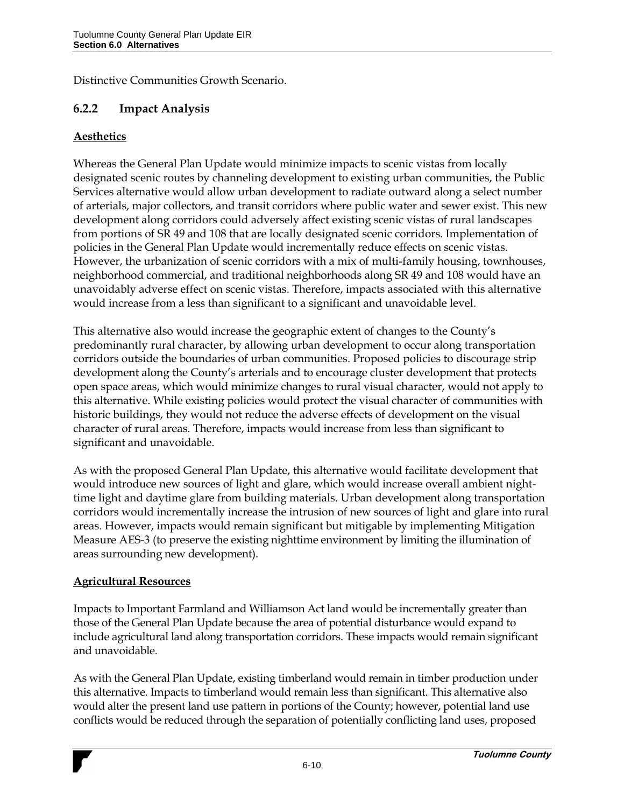Distinctive Communities Growth Scenario.

## **6.2.2 Impact Analysis**

#### **Aesthetics**

Whereas the General Plan Update would minimize impacts to scenic vistas from locally designated scenic routes by channeling development to existing urban communities, the Public Services alternative would allow urban development to radiate outward along a select number of arterials, major collectors, and transit corridors where public water and sewer exist. This new development along corridors could adversely affect existing scenic vistas of rural landscapes from portions of SR 49 and 108 that are locally designated scenic corridors. Implementation of policies in the General Plan Update would incrementally reduce effects on scenic vistas. However, the urbanization of scenic corridors with a mix of multi-family housing, townhouses, neighborhood commercial, and traditional neighborhoods along SR 49 and 108 would have an unavoidably adverse effect on scenic vistas. Therefore, impacts associated with this alternative would increase from a less than significant to a significant and unavoidable level.

This alternative also would increase the geographic extent of changes to the County's predominantly rural character, by allowing urban development to occur along transportation corridors outside the boundaries of urban communities. Proposed policies to discourage strip development along the County's arterials and to encourage cluster development that protects open space areas, which would minimize changes to rural visual character, would not apply to this alternative. While existing policies would protect the visual character of communities with historic buildings, they would not reduce the adverse effects of development on the visual character of rural areas. Therefore, impacts would increase from less than significant to significant and unavoidable.

As with the proposed General Plan Update, this alternative would facilitate development that would introduce new sources of light and glare, which would increase overall ambient nighttime light and daytime glare from building materials. Urban development along transportation corridors would incrementally increase the intrusion of new sources of light and glare into rural areas. However, impacts would remain significant but mitigable by implementing Mitigation Measure AES-3 (to preserve the existing nighttime environment by limiting the illumination of areas surrounding new development).

#### **Agricultural Resources**

Impacts to Important Farmland and Williamson Act land would be incrementally greater than those of the General Plan Update because the area of potential disturbance would expand to include agricultural land along transportation corridors. These impacts would remain significant and unavoidable.

As with the General Plan Update, existing timberland would remain in timber production under this alternative. Impacts to timberland would remain less than significant. This alternative also would alter the present land use pattern in portions of the County; however, potential land use conflicts would be reduced through the separation of potentially conflicting land uses, proposed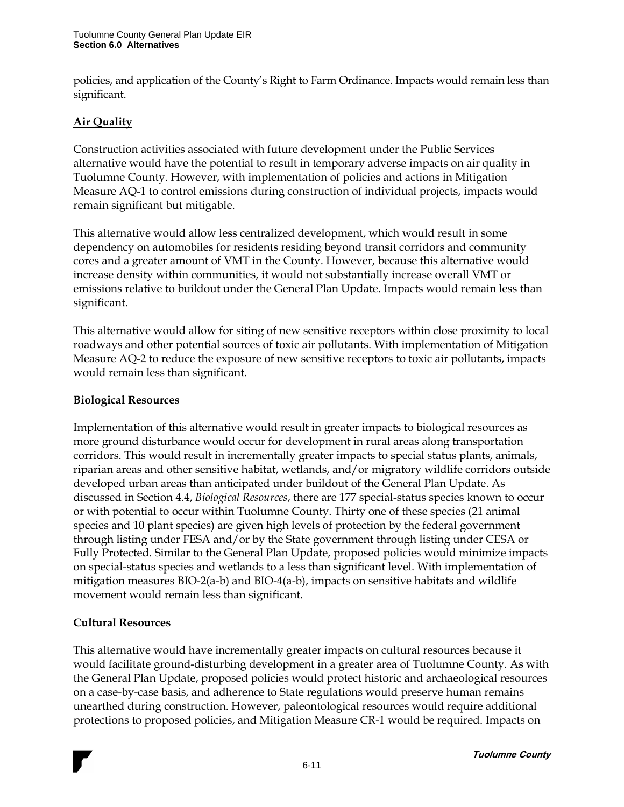policies, and application of the County's Right to Farm Ordinance. Impacts would remain less than significant.

## **Air Quality**

Construction activities associated with future development under the Public Services alternative would have the potential to result in temporary adverse impacts on air quality in Tuolumne County. However, with implementation of policies and actions in Mitigation Measure AQ-1 to control emissions during construction of individual projects, impacts would remain significant but mitigable.

This alternative would allow less centralized development, which would result in some dependency on automobiles for residents residing beyond transit corridors and community cores and a greater amount of VMT in the County. However, because this alternative would increase density within communities, it would not substantially increase overall VMT or emissions relative to buildout under the General Plan Update. Impacts would remain less than significant.

This alternative would allow for siting of new sensitive receptors within close proximity to local roadways and other potential sources of toxic air pollutants. With implementation of Mitigation Measure AQ-2 to reduce the exposure of new sensitive receptors to toxic air pollutants, impacts would remain less than significant.

### **Biological Resources**

Implementation of this alternative would result in greater impacts to biological resources as more ground disturbance would occur for development in rural areas along transportation corridors. This would result in incrementally greater impacts to special status plants, animals, riparian areas and other sensitive habitat, wetlands, and/or migratory wildlife corridors outside developed urban areas than anticipated under buildout of the General Plan Update. As discussed in Section 4.4, *Biological Resources*, there are 177 special-status species known to occur or with potential to occur within Tuolumne County. Thirty one of these species (21 animal species and 10 plant species) are given high levels of protection by the federal government through listing under FESA and/or by the State government through listing under CESA or Fully Protected. Similar to the General Plan Update, proposed policies would minimize impacts on special-status species and wetlands to a less than significant level. With implementation of mitigation measures BIO-2(a-b) and BIO-4(a-b), impacts on sensitive habitats and wildlife movement would remain less than significant.

#### **Cultural Resources**

This alternative would have incrementally greater impacts on cultural resources because it would facilitate ground-disturbing development in a greater area of Tuolumne County. As with the General Plan Update, proposed policies would protect historic and archaeological resources on a case-by-case basis, and adherence to State regulations would preserve human remains unearthed during construction. However, paleontological resources would require additional protections to proposed policies, and Mitigation Measure CR-1 would be required. Impacts on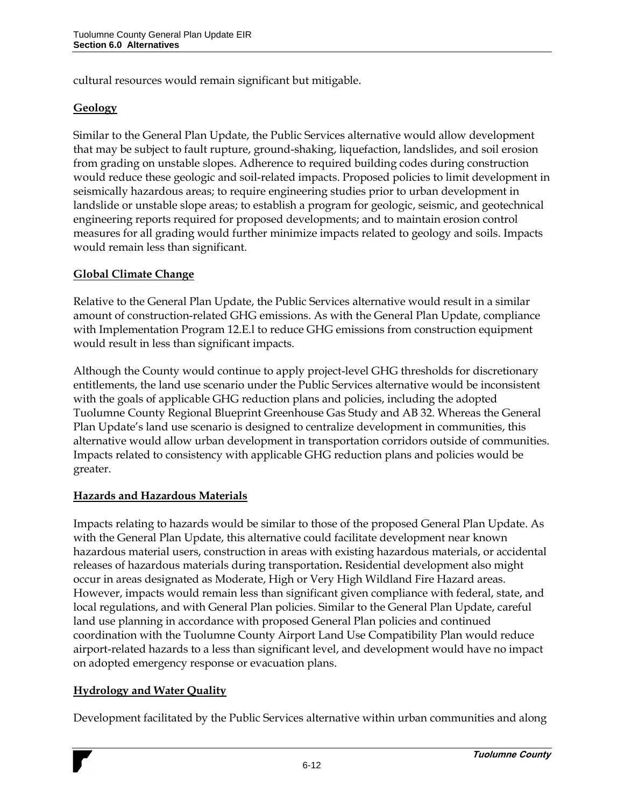cultural resources would remain significant but mitigable.

## **Geology**

Similar to the General Plan Update, the Public Services alternative would allow development that may be subject to fault rupture, ground-shaking, liquefaction, landslides, and soil erosion from grading on unstable slopes. Adherence to required building codes during construction would reduce these geologic and soil-related impacts. Proposed policies to limit development in seismically hazardous areas; to require engineering studies prior to urban development in landslide or unstable slope areas; to establish a program for geologic, seismic, and geotechnical engineering reports required for proposed developments; and to maintain erosion control measures for all grading would further minimize impacts related to geology and soils. Impacts would remain less than significant.

#### **Global Climate Change**

Relative to the General Plan Update, the Public Services alternative would result in a similar amount of construction-related GHG emissions. As with the General Plan Update, compliance with Implementation Program 12.E.l to reduce GHG emissions from construction equipment would result in less than significant impacts.

Although the County would continue to apply project-level GHG thresholds for discretionary entitlements, the land use scenario under the Public Services alternative would be inconsistent with the goals of applicable GHG reduction plans and policies, including the adopted Tuolumne County Regional Blueprint Greenhouse Gas Study and AB 32. Whereas the General Plan Update's land use scenario is designed to centralize development in communities, this alternative would allow urban development in transportation corridors outside of communities. Impacts related to consistency with applicable GHG reduction plans and policies would be greater.

## **Hazards and Hazardous Materials**

Impacts relating to hazards would be similar to those of the proposed General Plan Update. As with the General Plan Update, this alternative could facilitate development near known hazardous material users, construction in areas with existing hazardous materials, or accidental releases of hazardous materials during transportation**.** Residential development also might occur in areas designated as Moderate, High or Very High Wildland Fire Hazard areas. However, impacts would remain less than significant given compliance with federal, state, and local regulations, and with General Plan policies. Similar to the General Plan Update, careful land use planning in accordance with proposed General Plan policies and continued coordination with the Tuolumne County Airport Land Use Compatibility Plan would reduce airport-related hazards to a less than significant level, and development would have no impact on adopted emergency response or evacuation plans.

#### **Hydrology and Water Quality**

Development facilitated by the Public Services alternative within urban communities and along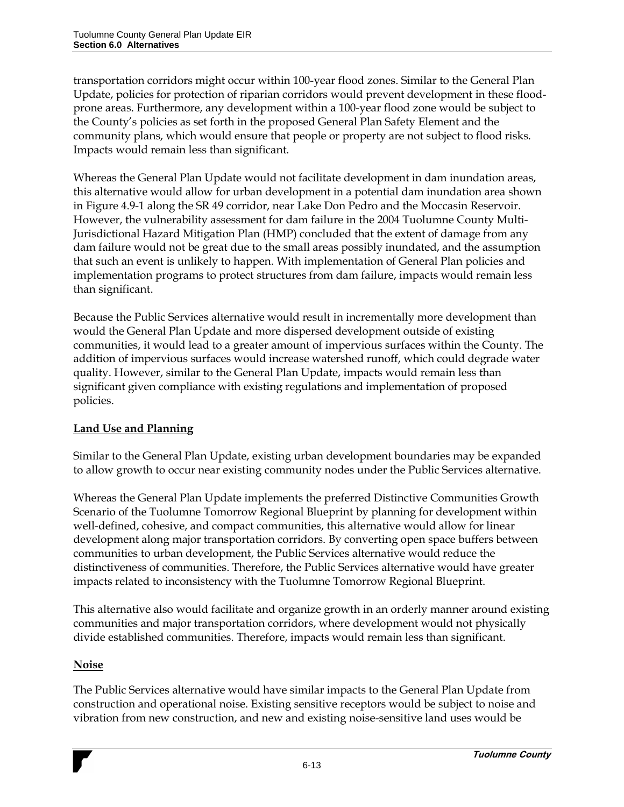transportation corridors might occur within 100-year flood zones. Similar to the General Plan Update, policies for protection of riparian corridors would prevent development in these floodprone areas. Furthermore, any development within a 100-year flood zone would be subject to the County's policies as set forth in the proposed General Plan Safety Element and the community plans, which would ensure that people or property are not subject to flood risks. Impacts would remain less than significant.

Whereas the General Plan Update would not facilitate development in dam inundation areas, this alternative would allow for urban development in a potential dam inundation area shown in Figure 4.9-1 along the SR 49 corridor, near Lake Don Pedro and the Moccasin Reservoir. However, the vulnerability assessment for dam failure in the 2004 Tuolumne County Multi-Jurisdictional Hazard Mitigation Plan (HMP) concluded that the extent of damage from any dam failure would not be great due to the small areas possibly inundated, and the assumption that such an event is unlikely to happen. With implementation of General Plan policies and implementation programs to protect structures from dam failure, impacts would remain less than significant.

Because the Public Services alternative would result in incrementally more development than would the General Plan Update and more dispersed development outside of existing communities, it would lead to a greater amount of impervious surfaces within the County. The addition of impervious surfaces would increase watershed runoff, which could degrade water quality. However, similar to the General Plan Update, impacts would remain less than significant given compliance with existing regulations and implementation of proposed policies.

## **Land Use and Planning**

Similar to the General Plan Update, existing urban development boundaries may be expanded to allow growth to occur near existing community nodes under the Public Services alternative.

Whereas the General Plan Update implements the preferred Distinctive Communities Growth Scenario of the Tuolumne Tomorrow Regional Blueprint by planning for development within well-defined, cohesive, and compact communities, this alternative would allow for linear development along major transportation corridors. By converting open space buffers between communities to urban development, the Public Services alternative would reduce the distinctiveness of communities. Therefore, the Public Services alternative would have greater impacts related to inconsistency with the Tuolumne Tomorrow Regional Blueprint.

This alternative also would facilitate and organize growth in an orderly manner around existing communities and major transportation corridors, where development would not physically divide established communities. Therefore, impacts would remain less than significant.

## **Noise**

The Public Services alternative would have similar impacts to the General Plan Update from construction and operational noise. Existing sensitive receptors would be subject to noise and vibration from new construction, and new and existing noise-sensitive land uses would be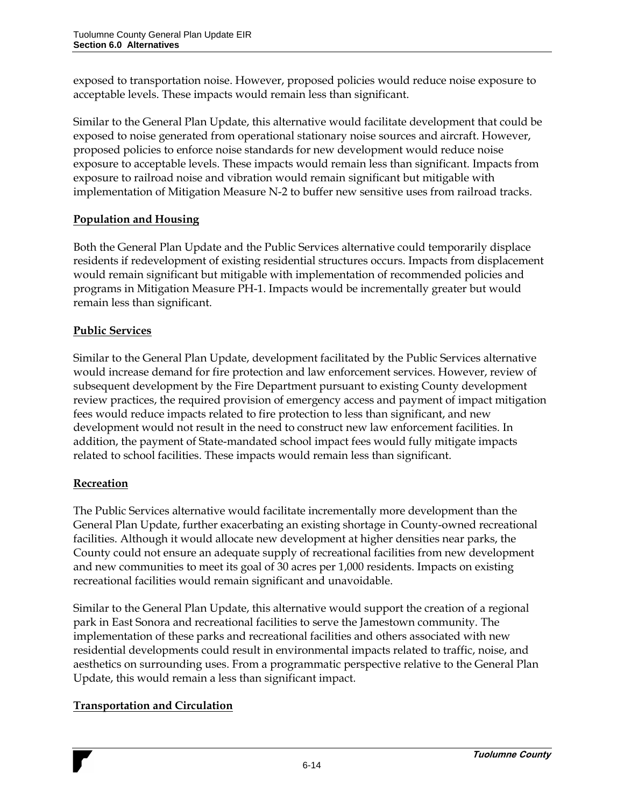exposed to transportation noise. However, proposed policies would reduce noise exposure to acceptable levels. These impacts would remain less than significant.

Similar to the General Plan Update, this alternative would facilitate development that could be exposed to noise generated from operational stationary noise sources and aircraft. However, proposed policies to enforce noise standards for new development would reduce noise exposure to acceptable levels. These impacts would remain less than significant. Impacts from exposure to railroad noise and vibration would remain significant but mitigable with implementation of Mitigation Measure N-2 to buffer new sensitive uses from railroad tracks.

## **Population and Housing**

Both the General Plan Update and the Public Services alternative could temporarily displace residents if redevelopment of existing residential structures occurs. Impacts from displacement would remain significant but mitigable with implementation of recommended policies and programs in Mitigation Measure PH-1. Impacts would be incrementally greater but would remain less than significant.

## **Public Services**

Similar to the General Plan Update, development facilitated by the Public Services alternative would increase demand for fire protection and law enforcement services. However, review of subsequent development by the Fire Department pursuant to existing County development review practices, the required provision of emergency access and payment of impact mitigation fees would reduce impacts related to fire protection to less than significant, and new development would not result in the need to construct new law enforcement facilities. In addition, the payment of State-mandated school impact fees would fully mitigate impacts related to school facilities. These impacts would remain less than significant.

## **Recreation**

The Public Services alternative would facilitate incrementally more development than the General Plan Update, further exacerbating an existing shortage in County-owned recreational facilities. Although it would allocate new development at higher densities near parks, the County could not ensure an adequate supply of recreational facilities from new development and new communities to meet its goal of 30 acres per 1,000 residents. Impacts on existing recreational facilities would remain significant and unavoidable.

Similar to the General Plan Update, this alternative would support the creation of a regional park in East Sonora and recreational facilities to serve the Jamestown community. The implementation of these parks and recreational facilities and others associated with new residential developments could result in environmental impacts related to traffic, noise, and aesthetics on surrounding uses. From a programmatic perspective relative to the General Plan Update, this would remain a less than significant impact.

## **Transportation and Circulation**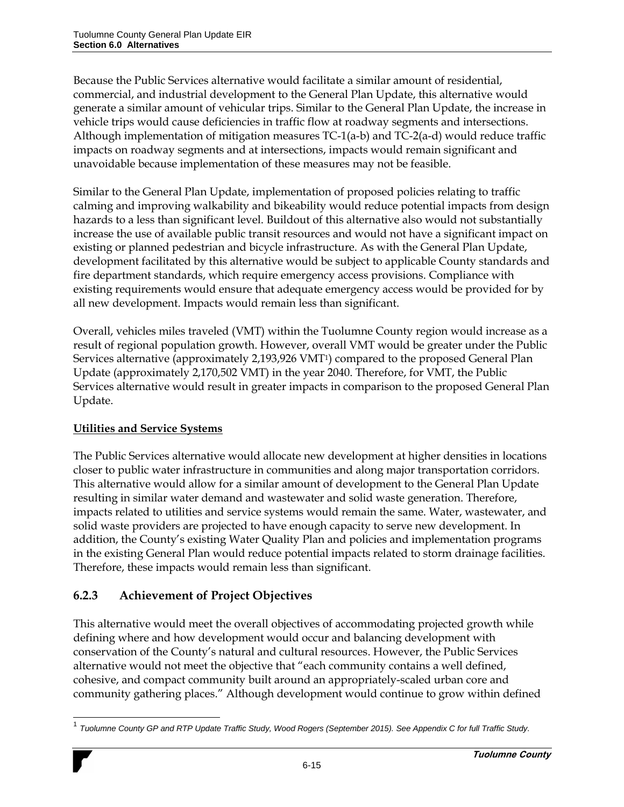Because the Public Services alternative would facilitate a similar amount of residential, commercial, and industrial development to the General Plan Update, this alternative would generate a similar amount of vehicular trips. Similar to the General Plan Update, the increase in vehicle trips would cause deficiencies in traffic flow at roadway segments and intersections. Although implementation of mitigation measures TC-1(a-b) and TC-2(a-d) would reduce traffic impacts on roadway segments and at intersections, impacts would remain significant and unavoidable because implementation of these measures may not be feasible.

Similar to the General Plan Update, implementation of proposed policies relating to traffic calming and improving walkability and bikeability would reduce potential impacts from design hazards to a less than significant level. Buildout of this alternative also would not substantially increase the use of available public transit resources and would not have a significant impact on existing or planned pedestrian and bicycle infrastructure. As with the General Plan Update, development facilitated by this alternative would be subject to applicable County standards and fire department standards, which require emergency access provisions. Compliance with existing requirements would ensure that adequate emergency access would be provided for by all new development. Impacts would remain less than significant.

Overall, vehicles miles traveled (VMT) within the Tuolumne County region would increase as a result of regional population growth. However, overall VMT would be greater under the Public Services alternative (approximately 2,193,926 VMT1) compared to the proposed General Plan Update (approximately 2,170,502 VMT) in the year 2040. Therefore, for VMT, the Public Services alternative would result in greater impacts in comparison to the proposed General Plan Update.

## **Utilities and Service Systems**

The Public Services alternative would allocate new development at higher densities in locations closer to public water infrastructure in communities and along major transportation corridors. This alternative would allow for a similar amount of development to the General Plan Update resulting in similar water demand and wastewater and solid waste generation. Therefore, impacts related to utilities and service systems would remain the same. Water, wastewater, and solid waste providers are projected to have enough capacity to serve new development. In addition, the County's existing Water Quality Plan and policies and implementation programs in the existing General Plan would reduce potential impacts related to storm drainage facilities. Therefore, these impacts would remain less than significant.

# **6.2.3 Achievement of Project Objectives**

This alternative would meet the overall objectives of accommodating projected growth while defining where and how development would occur and balancing development with conservation of the County's natural and cultural resources. However, the Public Services alternative would not meet the objective that "each community contains a well defined, cohesive, and compact community built around an appropriately-scaled urban core and community gathering places." Although development would continue to grow within defined

l 1 *Tuolumne County GP and RTP Update Traffic Study, Wood Rogers (September 2015). See Appendix C for full Traffic Study.*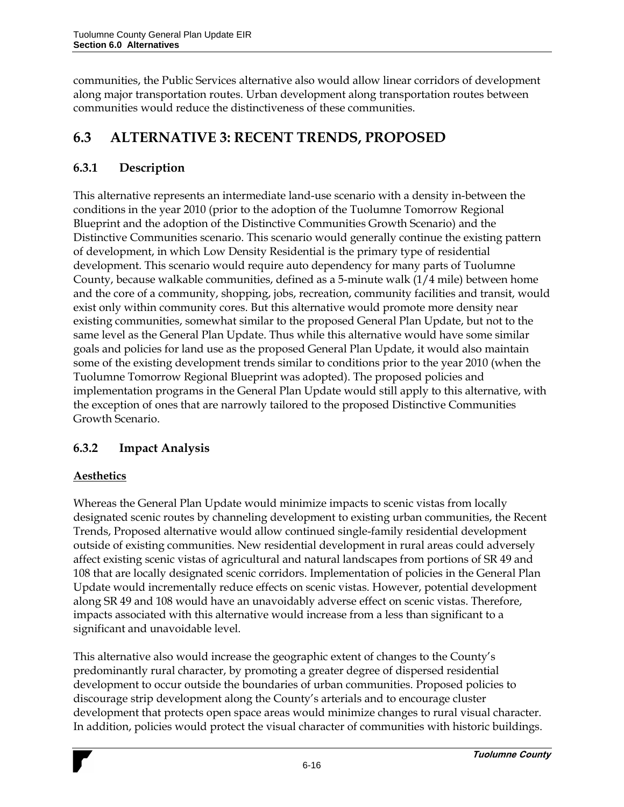communities, the Public Services alternative also would allow linear corridors of development along major transportation routes. Urban development along transportation routes between communities would reduce the distinctiveness of these communities.

# **6.3 ALTERNATIVE 3: RECENT TRENDS, PROPOSED**

# **6.3.1 Description**

This alternative represents an intermediate land-use scenario with a density in-between the conditions in the year 2010 (prior to the adoption of the Tuolumne Tomorrow Regional Blueprint and the adoption of the Distinctive Communities Growth Scenario) and the Distinctive Communities scenario. This scenario would generally continue the existing pattern of development, in which Low Density Residential is the primary type of residential development. This scenario would require auto dependency for many parts of Tuolumne County, because walkable communities, defined as a 5-minute walk (1/4 mile) between home and the core of a community, shopping, jobs, recreation, community facilities and transit, would exist only within community cores. But this alternative would promote more density near existing communities, somewhat similar to the proposed General Plan Update, but not to the same level as the General Plan Update. Thus while this alternative would have some similar goals and policies for land use as the proposed General Plan Update, it would also maintain some of the existing development trends similar to conditions prior to the year 2010 (when the Tuolumne Tomorrow Regional Blueprint was adopted). The proposed policies and implementation programs in the General Plan Update would still apply to this alternative, with the exception of ones that are narrowly tailored to the proposed Distinctive Communities Growth Scenario.

## **6.3.2 Impact Analysis**

## **Aesthetics**

Whereas the General Plan Update would minimize impacts to scenic vistas from locally designated scenic routes by channeling development to existing urban communities, the Recent Trends, Proposed alternative would allow continued single-family residential development outside of existing communities. New residential development in rural areas could adversely affect existing scenic vistas of agricultural and natural landscapes from portions of SR 49 and 108 that are locally designated scenic corridors. Implementation of policies in the General Plan Update would incrementally reduce effects on scenic vistas. However, potential development along SR 49 and 108 would have an unavoidably adverse effect on scenic vistas. Therefore, impacts associated with this alternative would increase from a less than significant to a significant and unavoidable level.

This alternative also would increase the geographic extent of changes to the County's predominantly rural character, by promoting a greater degree of dispersed residential development to occur outside the boundaries of urban communities. Proposed policies to discourage strip development along the County's arterials and to encourage cluster development that protects open space areas would minimize changes to rural visual character. In addition, policies would protect the visual character of communities with historic buildings.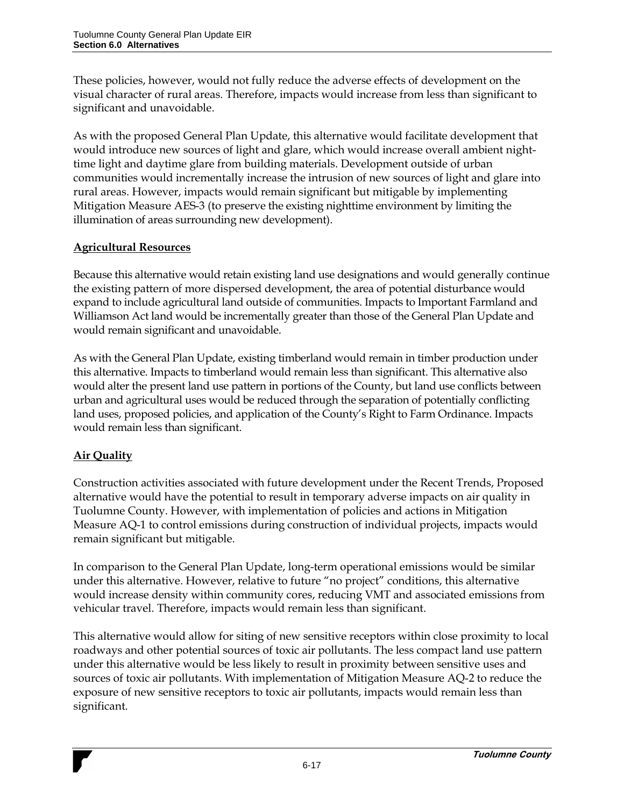These policies, however, would not fully reduce the adverse effects of development on the visual character of rural areas. Therefore, impacts would increase from less than significant to significant and unavoidable.

As with the proposed General Plan Update, this alternative would facilitate development that would introduce new sources of light and glare, which would increase overall ambient nighttime light and daytime glare from building materials. Development outside of urban communities would incrementally increase the intrusion of new sources of light and glare into rural areas. However, impacts would remain significant but mitigable by implementing Mitigation Measure AES-3 (to preserve the existing nighttime environment by limiting the illumination of areas surrounding new development).

## **Agricultural Resources**

Because this alternative would retain existing land use designations and would generally continue the existing pattern of more dispersed development, the area of potential disturbance would expand to include agricultural land outside of communities. Impacts to Important Farmland and Williamson Act land would be incrementally greater than those of the General Plan Update and would remain significant and unavoidable.

As with the General Plan Update, existing timberland would remain in timber production under this alternative. Impacts to timberland would remain less than significant. This alternative also would alter the present land use pattern in portions of the County, but land use conflicts between urban and agricultural uses would be reduced through the separation of potentially conflicting land uses, proposed policies, and application of the County's Right to Farm Ordinance. Impacts would remain less than significant.

## **Air Quality**

Construction activities associated with future development under the Recent Trends, Proposed alternative would have the potential to result in temporary adverse impacts on air quality in Tuolumne County. However, with implementation of policies and actions in Mitigation Measure AQ-1 to control emissions during construction of individual projects, impacts would remain significant but mitigable.

In comparison to the General Plan Update, long-term operational emissions would be similar under this alternative. However, relative to future "no project" conditions, this alternative would increase density within community cores, reducing VMT and associated emissions from vehicular travel. Therefore, impacts would remain less than significant.

This alternative would allow for siting of new sensitive receptors within close proximity to local roadways and other potential sources of toxic air pollutants. The less compact land use pattern under this alternative would be less likely to result in proximity between sensitive uses and sources of toxic air pollutants. With implementation of Mitigation Measure AQ-2 to reduce the exposure of new sensitive receptors to toxic air pollutants, impacts would remain less than significant.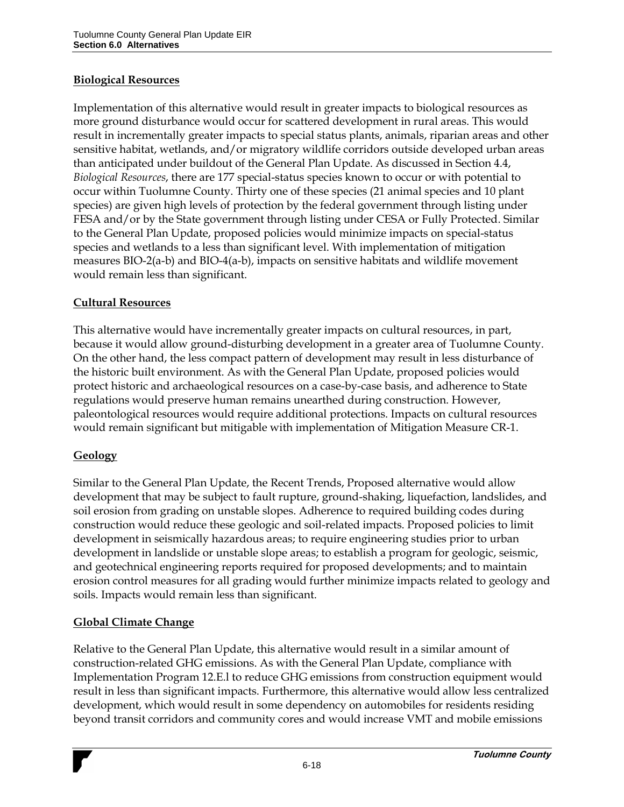#### **Biological Resources**

Implementation of this alternative would result in greater impacts to biological resources as more ground disturbance would occur for scattered development in rural areas. This would result in incrementally greater impacts to special status plants, animals, riparian areas and other sensitive habitat, wetlands, and/or migratory wildlife corridors outside developed urban areas than anticipated under buildout of the General Plan Update. As discussed in Section 4.4, *Biological Resources*, there are 177 special-status species known to occur or with potential to occur within Tuolumne County. Thirty one of these species (21 animal species and 10 plant species) are given high levels of protection by the federal government through listing under FESA and/or by the State government through listing under CESA or Fully Protected. Similar to the General Plan Update, proposed policies would minimize impacts on special-status species and wetlands to a less than significant level. With implementation of mitigation measures BIO-2(a-b) and BIO-4(a-b), impacts on sensitive habitats and wildlife movement would remain less than significant.

#### **Cultural Resources**

This alternative would have incrementally greater impacts on cultural resources, in part, because it would allow ground-disturbing development in a greater area of Tuolumne County. On the other hand, the less compact pattern of development may result in less disturbance of the historic built environment. As with the General Plan Update, proposed policies would protect historic and archaeological resources on a case-by-case basis, and adherence to State regulations would preserve human remains unearthed during construction. However, paleontological resources would require additional protections. Impacts on cultural resources would remain significant but mitigable with implementation of Mitigation Measure CR-1.

#### **Geology**

Similar to the General Plan Update, the Recent Trends, Proposed alternative would allow development that may be subject to fault rupture, ground-shaking, liquefaction, landslides, and soil erosion from grading on unstable slopes. Adherence to required building codes during construction would reduce these geologic and soil-related impacts. Proposed policies to limit development in seismically hazardous areas; to require engineering studies prior to urban development in landslide or unstable slope areas; to establish a program for geologic, seismic, and geotechnical engineering reports required for proposed developments; and to maintain erosion control measures for all grading would further minimize impacts related to geology and soils. Impacts would remain less than significant.

#### **Global Climate Change**

Relative to the General Plan Update, this alternative would result in a similar amount of construction-related GHG emissions. As with the General Plan Update, compliance with Implementation Program 12.E.l to reduce GHG emissions from construction equipment would result in less than significant impacts. Furthermore, this alternative would allow less centralized development, which would result in some dependency on automobiles for residents residing beyond transit corridors and community cores and would increase VMT and mobile emissions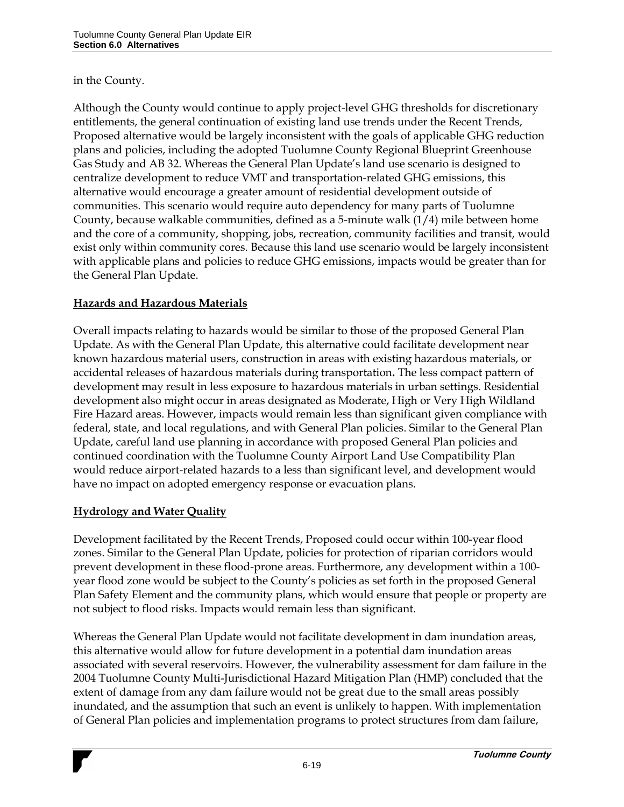#### in the County.

Although the County would continue to apply project-level GHG thresholds for discretionary entitlements, the general continuation of existing land use trends under the Recent Trends, Proposed alternative would be largely inconsistent with the goals of applicable GHG reduction plans and policies, including the adopted Tuolumne County Regional Blueprint Greenhouse Gas Study and AB 32. Whereas the General Plan Update's land use scenario is designed to centralize development to reduce VMT and transportation-related GHG emissions, this alternative would encourage a greater amount of residential development outside of communities. This scenario would require auto dependency for many parts of Tuolumne County, because walkable communities, defined as a 5-minute walk (1/4) mile between home and the core of a community, shopping, jobs, recreation, community facilities and transit, would exist only within community cores. Because this land use scenario would be largely inconsistent with applicable plans and policies to reduce GHG emissions, impacts would be greater than for the General Plan Update.

#### **Hazards and Hazardous Materials**

Overall impacts relating to hazards would be similar to those of the proposed General Plan Update. As with the General Plan Update, this alternative could facilitate development near known hazardous material users, construction in areas with existing hazardous materials, or accidental releases of hazardous materials during transportation**.** The less compact pattern of development may result in less exposure to hazardous materials in urban settings. Residential development also might occur in areas designated as Moderate, High or Very High Wildland Fire Hazard areas. However, impacts would remain less than significant given compliance with federal, state, and local regulations, and with General Plan policies. Similar to the General Plan Update, careful land use planning in accordance with proposed General Plan policies and continued coordination with the Tuolumne County Airport Land Use Compatibility Plan would reduce airport-related hazards to a less than significant level, and development would have no impact on adopted emergency response or evacuation plans.

#### **Hydrology and Water Quality**

Development facilitated by the Recent Trends, Proposed could occur within 100-year flood zones. Similar to the General Plan Update, policies for protection of riparian corridors would prevent development in these flood-prone areas. Furthermore, any development within a 100 year flood zone would be subject to the County's policies as set forth in the proposed General Plan Safety Element and the community plans, which would ensure that people or property are not subject to flood risks. Impacts would remain less than significant.

Whereas the General Plan Update would not facilitate development in dam inundation areas, this alternative would allow for future development in a potential dam inundation areas associated with several reservoirs. However, the vulnerability assessment for dam failure in the 2004 Tuolumne County Multi-Jurisdictional Hazard Mitigation Plan (HMP) concluded that the extent of damage from any dam failure would not be great due to the small areas possibly inundated, and the assumption that such an event is unlikely to happen. With implementation of General Plan policies and implementation programs to protect structures from dam failure,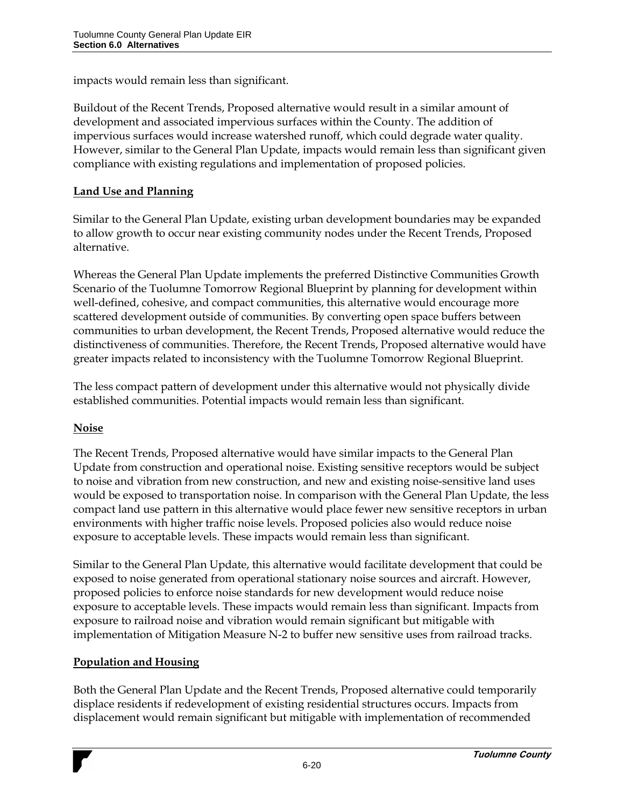impacts would remain less than significant.

Buildout of the Recent Trends, Proposed alternative would result in a similar amount of development and associated impervious surfaces within the County. The addition of impervious surfaces would increase watershed runoff, which could degrade water quality. However, similar to the General Plan Update, impacts would remain less than significant given compliance with existing regulations and implementation of proposed policies.

#### **Land Use and Planning**

Similar to the General Plan Update, existing urban development boundaries may be expanded to allow growth to occur near existing community nodes under the Recent Trends, Proposed alternative.

Whereas the General Plan Update implements the preferred Distinctive Communities Growth Scenario of the Tuolumne Tomorrow Regional Blueprint by planning for development within well-defined, cohesive, and compact communities, this alternative would encourage more scattered development outside of communities. By converting open space buffers between communities to urban development, the Recent Trends, Proposed alternative would reduce the distinctiveness of communities. Therefore, the Recent Trends, Proposed alternative would have greater impacts related to inconsistency with the Tuolumne Tomorrow Regional Blueprint.

The less compact pattern of development under this alternative would not physically divide established communities. Potential impacts would remain less than significant.

#### **Noise**

The Recent Trends, Proposed alternative would have similar impacts to the General Plan Update from construction and operational noise. Existing sensitive receptors would be subject to noise and vibration from new construction, and new and existing noise-sensitive land uses would be exposed to transportation noise. In comparison with the General Plan Update, the less compact land use pattern in this alternative would place fewer new sensitive receptors in urban environments with higher traffic noise levels. Proposed policies also would reduce noise exposure to acceptable levels. These impacts would remain less than significant.

Similar to the General Plan Update, this alternative would facilitate development that could be exposed to noise generated from operational stationary noise sources and aircraft. However, proposed policies to enforce noise standards for new development would reduce noise exposure to acceptable levels. These impacts would remain less than significant. Impacts from exposure to railroad noise and vibration would remain significant but mitigable with implementation of Mitigation Measure N-2 to buffer new sensitive uses from railroad tracks.

#### **Population and Housing**

Both the General Plan Update and the Recent Trends, Proposed alternative could temporarily displace residents if redevelopment of existing residential structures occurs. Impacts from displacement would remain significant but mitigable with implementation of recommended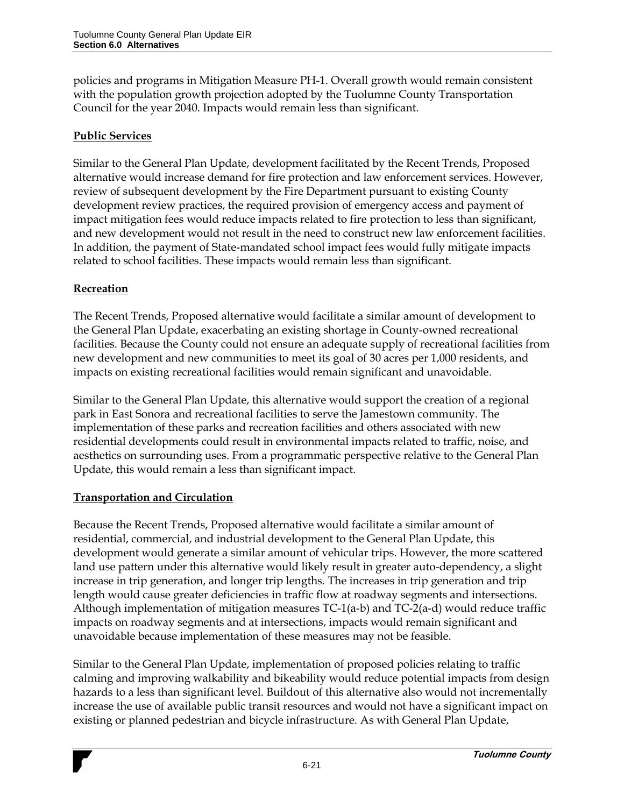policies and programs in Mitigation Measure PH-1. Overall growth would remain consistent with the population growth projection adopted by the Tuolumne County Transportation Council for the year 2040. Impacts would remain less than significant.

#### **Public Services**

Similar to the General Plan Update, development facilitated by the Recent Trends, Proposed alternative would increase demand for fire protection and law enforcement services. However, review of subsequent development by the Fire Department pursuant to existing County development review practices, the required provision of emergency access and payment of impact mitigation fees would reduce impacts related to fire protection to less than significant, and new development would not result in the need to construct new law enforcement facilities. In addition, the payment of State-mandated school impact fees would fully mitigate impacts related to school facilities. These impacts would remain less than significant.

#### **Recreation**

The Recent Trends, Proposed alternative would facilitate a similar amount of development to the General Plan Update, exacerbating an existing shortage in County-owned recreational facilities. Because the County could not ensure an adequate supply of recreational facilities from new development and new communities to meet its goal of 30 acres per 1,000 residents, and impacts on existing recreational facilities would remain significant and unavoidable.

Similar to the General Plan Update, this alternative would support the creation of a regional park in East Sonora and recreational facilities to serve the Jamestown community. The implementation of these parks and recreation facilities and others associated with new residential developments could result in environmental impacts related to traffic, noise, and aesthetics on surrounding uses. From a programmatic perspective relative to the General Plan Update, this would remain a less than significant impact.

## **Transportation and Circulation**

Because the Recent Trends, Proposed alternative would facilitate a similar amount of residential, commercial, and industrial development to the General Plan Update, this development would generate a similar amount of vehicular trips. However, the more scattered land use pattern under this alternative would likely result in greater auto-dependency, a slight increase in trip generation, and longer trip lengths. The increases in trip generation and trip length would cause greater deficiencies in traffic flow at roadway segments and intersections. Although implementation of mitigation measures TC-1(a-b) and TC-2(a-d) would reduce traffic impacts on roadway segments and at intersections, impacts would remain significant and unavoidable because implementation of these measures may not be feasible.

Similar to the General Plan Update, implementation of proposed policies relating to traffic calming and improving walkability and bikeability would reduce potential impacts from design hazards to a less than significant level. Buildout of this alternative also would not incrementally increase the use of available public transit resources and would not have a significant impact on existing or planned pedestrian and bicycle infrastructure. As with General Plan Update,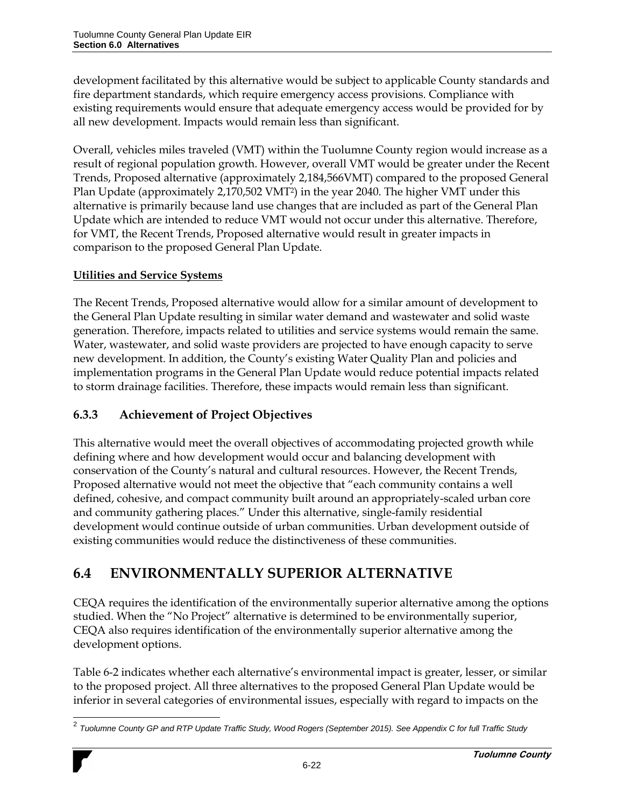development facilitated by this alternative would be subject to applicable County standards and fire department standards, which require emergency access provisions. Compliance with existing requirements would ensure that adequate emergency access would be provided for by all new development. Impacts would remain less than significant.

Overall, vehicles miles traveled (VMT) within the Tuolumne County region would increase as a result of regional population growth. However, overall VMT would be greater under the Recent Trends, Proposed alternative (approximately 2,184,566VMT) compared to the proposed General Plan Update (approximately 2,170,502 VMT2) in the year 2040. The higher VMT under this alternative is primarily because land use changes that are included as part of the General Plan Update which are intended to reduce VMT would not occur under this alternative. Therefore, for VMT, the Recent Trends, Proposed alternative would result in greater impacts in comparison to the proposed General Plan Update.

## **Utilities and Service Systems**

The Recent Trends, Proposed alternative would allow for a similar amount of development to the General Plan Update resulting in similar water demand and wastewater and solid waste generation. Therefore, impacts related to utilities and service systems would remain the same. Water, wastewater, and solid waste providers are projected to have enough capacity to serve new development. In addition, the County's existing Water Quality Plan and policies and implementation programs in the General Plan Update would reduce potential impacts related to storm drainage facilities. Therefore, these impacts would remain less than significant.

## **6.3.3 Achievement of Project Objectives**

This alternative would meet the overall objectives of accommodating projected growth while defining where and how development would occur and balancing development with conservation of the County's natural and cultural resources. However, the Recent Trends, Proposed alternative would not meet the objective that "each community contains a well defined, cohesive, and compact community built around an appropriately-scaled urban core and community gathering places." Under this alternative, single-family residential development would continue outside of urban communities. Urban development outside of existing communities would reduce the distinctiveness of these communities.

# **6.4 ENVIRONMENTALLY SUPERIOR ALTERNATIVE**

CEQA requires the identification of the environmentally superior alternative among the options studied. When the "No Project" alternative is determined to be environmentally superior, CEQA also requires identification of the environmentally superior alternative among the development options.

Table 6-2 indicates whether each alternative's environmental impact is greater, lesser, or similar to the proposed project. All three alternatives to the proposed General Plan Update would be inferior in several categories of environmental issues, especially with regard to impacts on the

l 2 *Tuolumne County GP and RTP Update Traffic Study, Wood Rogers (September 2015). See Appendix C for full Traffic Study*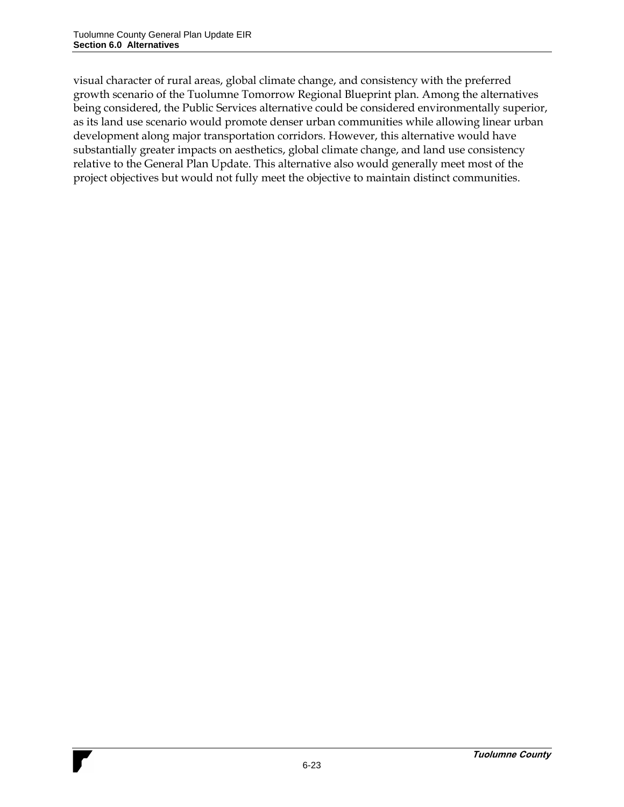visual character of rural areas, global climate change, and consistency with the preferred growth scenario of the Tuolumne Tomorrow Regional Blueprint plan. Among the alternatives being considered, the Public Services alternative could be considered environmentally superior, as its land use scenario would promote denser urban communities while allowing linear urban development along major transportation corridors. However, this alternative would have substantially greater impacts on aesthetics, global climate change, and land use consistency relative to the General Plan Update. This alternative also would generally meet most of the project objectives but would not fully meet the objective to maintain distinct communities.